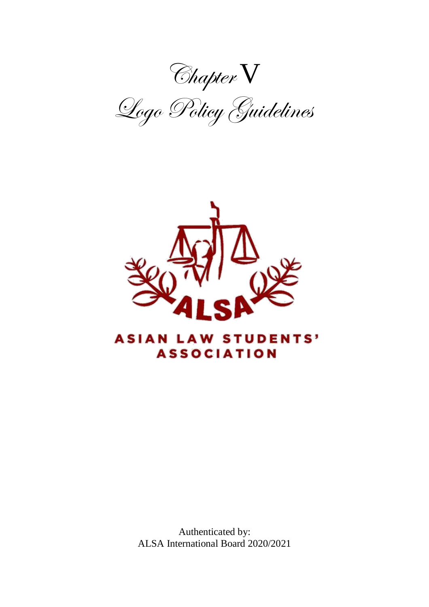Chapter V

Logo Policy Guidelines



# **ASIAN LAW STUDENTS' ASSOCIATION**

Authenticated by: ALSA International Board 2020/2021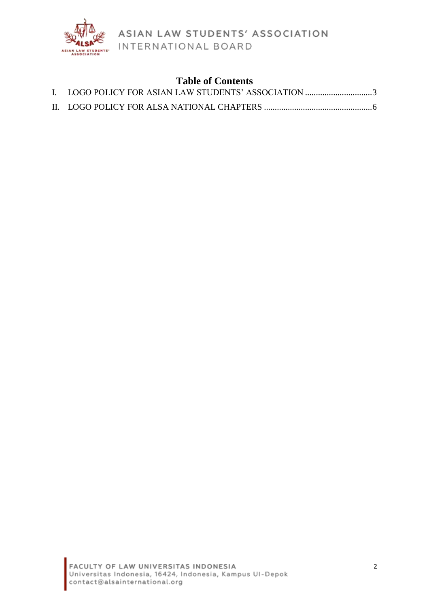

# **Table of Contents**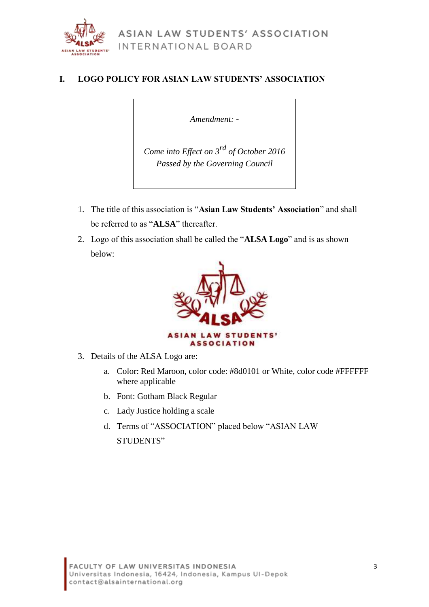

#### <span id="page-2-0"></span>**I. LOGO POLICY FOR ASIAN LAW STUDENTS' ASSOCIATION**

*Amendment: -*

*Come into Effect on 3rd of October 2016 Passed by the Governing Council*

- 1. The title of this association is "**Asian Law Students' Association**" and shall be referred to as "**ALSA**" thereafter.
- 2. Logo of this association shall be called the "**ALSA Logo**" and is as shown below:



- 3. Details of the ALSA Logo are:
	- a. Color: Red Maroon, color code: #8d0101 or White, color code #FFFFFF where applicable
	- b. Font: Gotham Black Regular
	- c. Lady Justice holding a scale
	- d. Terms of "ASSOCIATION" placed below "ASIAN LAW STUDENTS"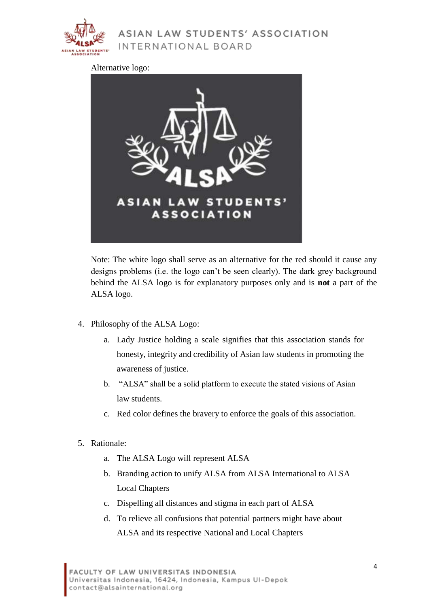

Alternative logo:



Note: The white logo shall serve as an alternative for the red should it cause any designs problems (i.e. the logo can't be seen clearly). The dark grey background behind the ALSA logo is for explanatory purposes only and is **not** a part of the ALSA logo.

- 4. Philosophy of the ALSA Logo:
	- a. Lady Justice holding a scale signifies that this association stands for honesty, integrity and credibility of Asian law students in promoting the awareness of justice.
	- b. "ALSA" shall be a solid platform to execute the stated visions of Asian law students.
	- c. Red color defines the bravery to enforce the goals of this association.
- 5. Rationale:
	- a. The ALSA Logo will represent ALSA
	- b. Branding action to unify ALSA from ALSA International to ALSA Local Chapters
	- c. Dispelling all distances and stigma in each part of ALSA
	- d. To relieve all confusions that potential partners might have about ALSA and its respective National and Local Chapters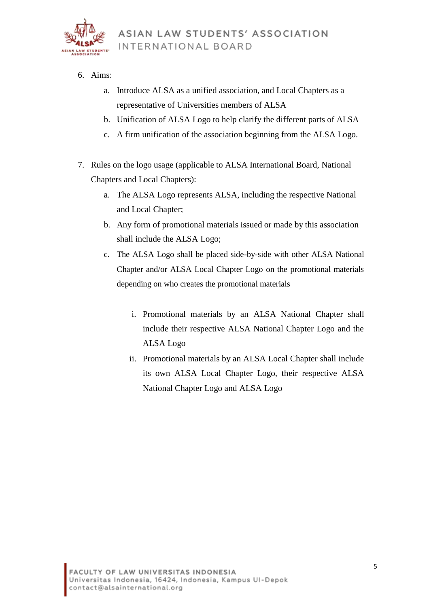

- 6. Aims:
	- a. Introduce ALSA as a unified association, and Local Chapters as a representative of Universities members of ALSA
	- b. Unification of ALSA Logo to help clarify the different parts of ALSA
	- c. A firm unification of the association beginning from the ALSA Logo.
- 7. Rules on the logo usage (applicable to ALSA International Board, National Chapters and Local Chapters):
	- a. The ALSA Logo represents ALSA, including the respective National and Local Chapter;
	- b. Any form of promotional materials issued or made by this association shall include the ALSA Logo;
	- c. The ALSA Logo shall be placed side-by-side with other ALSA National Chapter and/or ALSA Local Chapter Logo on the promotional materials depending on who creates the promotional materials
		- i. Promotional materials by an ALSA National Chapter shall include their respective ALSA National Chapter Logo and the ALSA Logo
		- ii. Promotional materials by an ALSA Local Chapter shall include its own ALSA Local Chapter Logo, their respective ALSA National Chapter Logo and ALSA Logo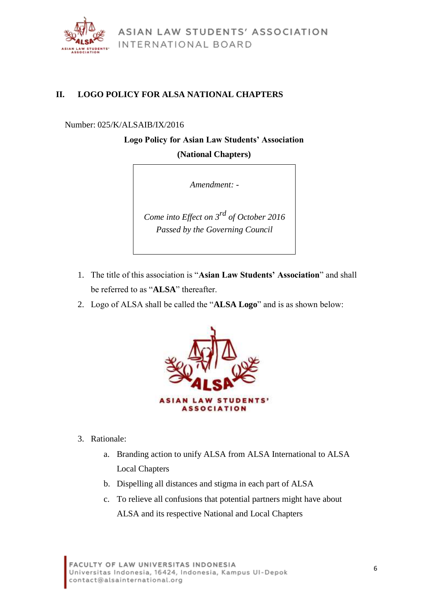

### <span id="page-5-0"></span>**II. LOGO POLICY FOR ALSA NATIONAL CHAPTERS**

#### Number: 025/K/ALSAIB/IX/2016

## **Logo Policy for Asian Law Students' Association (National Chapters)**

*Amendment: -*

*Come into Effect on 3rd of October 2016 Passed by the Governing Council*

- 1. The title of this association is "**Asian Law Students' Association**" and shall be referred to as "**ALSA**" thereafter.
- 2. Logo of ALSA shall be called the "**ALSA Logo**" and is as shown below:



- 3. Rationale:
	- a. Branding action to unify ALSA from ALSA International to ALSA Local Chapters
	- b. Dispelling all distances and stigma in each part of ALSA
	- c. To relieve all confusions that potential partners might have about ALSA and its respective National and Local Chapters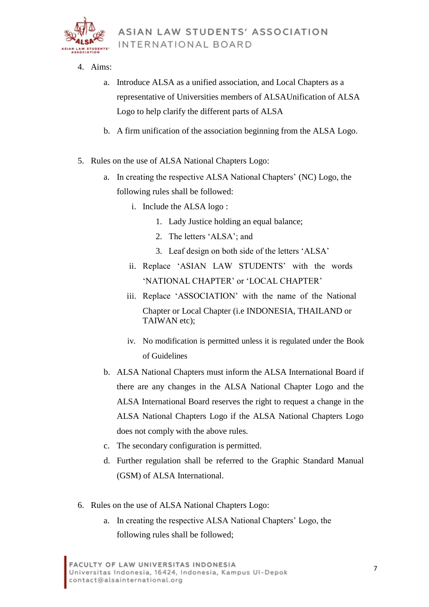

- 4. Aims:
	- a. Introduce ALSA as a unified association, and Local Chapters as a representative of Universities members of ALSAUnification of ALSA Logo to help clarify the different parts of ALSA
	- b. A firm unification of the association beginning from the ALSA Logo.
- 5. Rules on the use of ALSA National Chapters Logo:
	- a. In creating the respective ALSA National Chapters' (NC) Logo, the following rules shall be followed:
		- i. Include the ALSA logo :
			- 1. Lady Justice holding an equal balance;
			- 2. The letters 'ALSA'; and
			- 3. Leaf design on both side of the letters 'ALSA'
		- ii. Replace 'ASIAN LAW STUDENTS' with the words 'NATIONAL CHAPTER' or 'LOCAL CHAPTER'
		- iii. Replace 'ASSOCIATION' with the name of the National Chapter or Local Chapter (i.e INDONESIA, THAILAND or TAIWAN etc);
		- iv. No modification is permitted unless it is regulated under the Book of Guidelines
	- b. ALSA National Chapters must inform the ALSA International Board if there are any changes in the ALSA National Chapter Logo and the ALSA International Board reserves the right to request a change in the ALSA National Chapters Logo if the ALSA National Chapters Logo does not comply with the above rules.
	- c. The secondary configuration is permitted.
	- d. Further regulation shall be referred to the Graphic Standard Manual (GSM) of ALSA International.
- 6. Rules on the use of ALSA National Chapters Logo:
	- a. In creating the respective ALSA National Chapters' Logo, the following rules shall be followed;